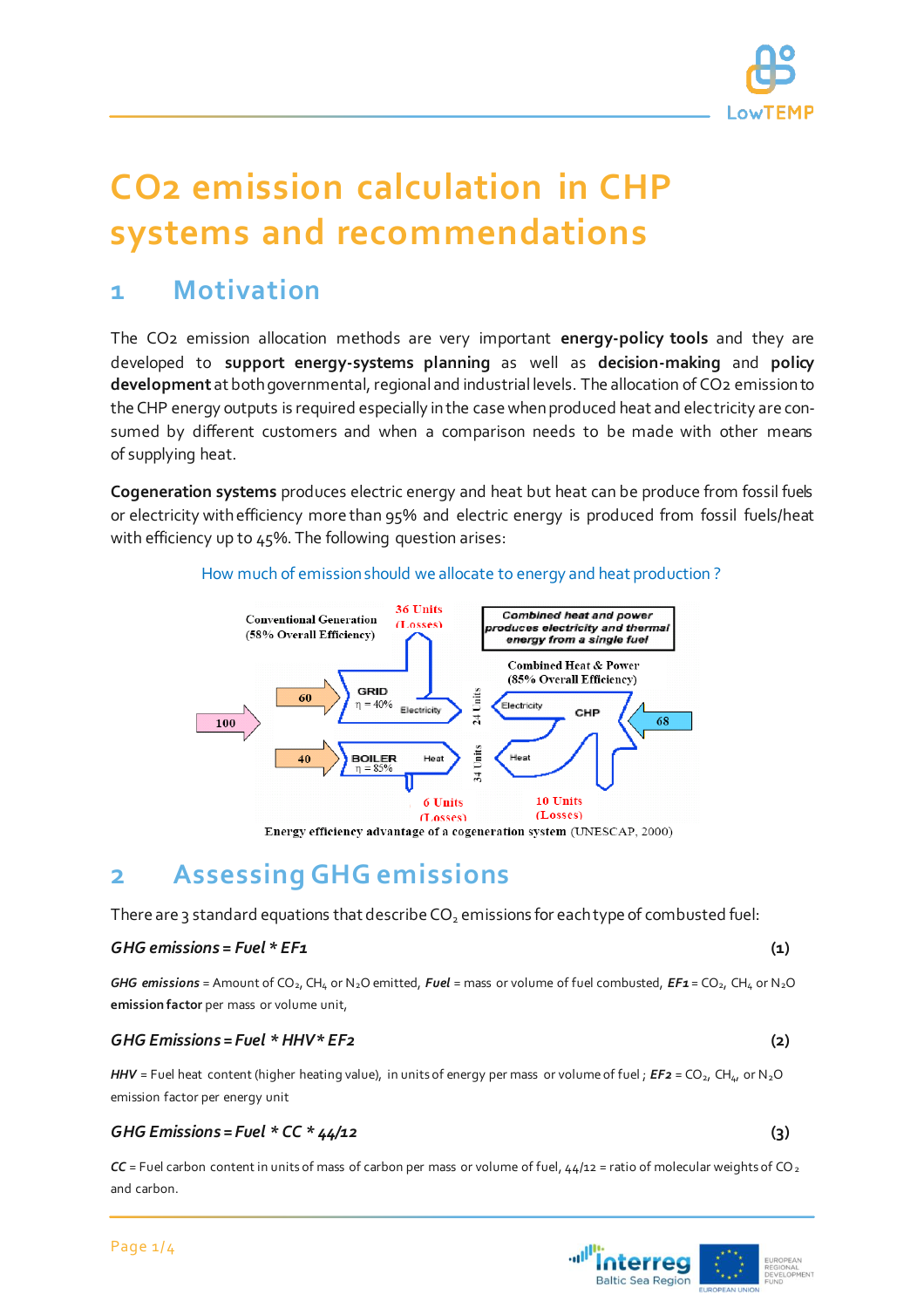

# **CO2 emission calculation in CHP systems and recommendations**

## **1 Motivation**

The CO2 emission allocation methods are very important **energy-policy tools** and they are developed to **support energy-systems planning** as well as **decision-making** and **policy development** at both governmental, regional and industrial levels. The allocation of CO2 emission to the CHP energy outputs is required especially in the case when produced heat and electricity are consumed by different customers and when a comparison needs to be made with other means of supplying heat.

**Cogeneration systems** produces electric energy and heat but heat can be produce from fossil fuels or electricity with efficiency more than 95% and electric energy is produced from fossil fuels/heat with efficiency up to 45%. The following question arises:

#### How much of emission should we allocate to energy and heat production ?



Energy efficiency advantage of a cogeneration system (UNESCAP, 2000)

## **2 Assessing GHG emissions**

There are 3 standard equations that describe  $CO<sub>2</sub>$  emissions for each type of combusted fuel:

#### *GHG emissions = Fuel \* EF1* **(1)**

*GHG emissions* = Amount of CO<sub>2</sub>, CH<sub>4</sub> or N<sub>2</sub>O emitted, *Fuel* = mass or volume of fuel combusted,  $EF_1 = CO_2$ , CH<sub>4</sub> or N<sub>2</sub>O **emission factor** per mass or volume unit,

#### *GHG Emissions = Fuel \* HHV\* EF2* **(2)**

*HHV* = Fuel heat content (higher heating value), in units of energy per mass or volume of fuel; *EF2* = CO<sub>2</sub>, CH<sub>4</sub>, or N<sub>2</sub>O emission factor per energy unit

#### *GHG Emissions = Fuel \* CC \* 44/12* **(3)**

 $CC$  = Fuel carbon content in units of mass of carbon per mass or volume of fuel,  $44/12$  = ratio of molecular weights of CO<sub>2</sub> and carbon.

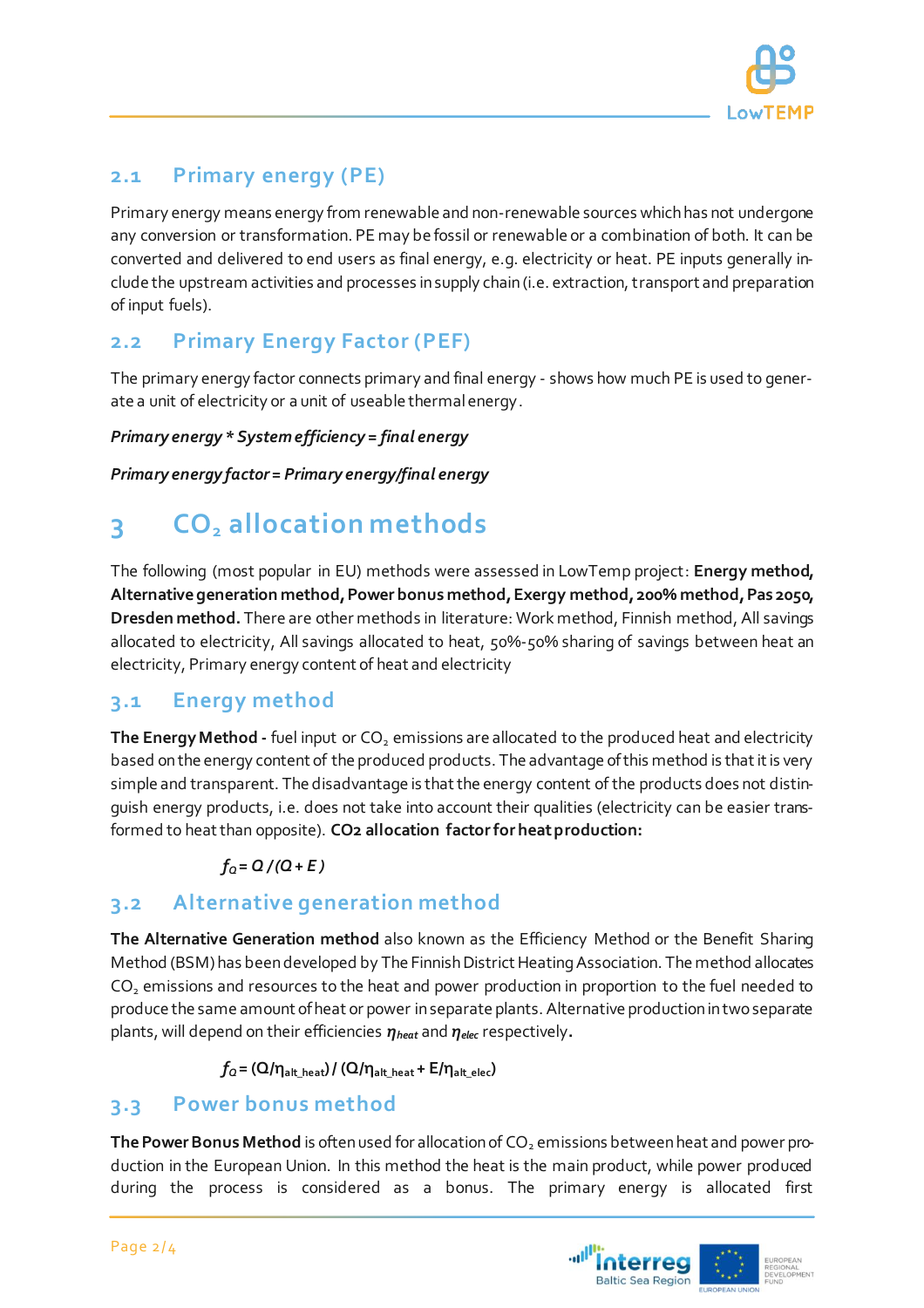

## **2.1 Primary energy (PE)**

Primary energy means energy from renewable and non-renewable sources which has not undergone any conversion or transformation. PE may be fossil or renewable or a combination of both. It can be converted and delivered to end users as final energy, e.g. electricity or heat. PE inputs generally include the upstream activities and processes in supply chain (i.e. extraction, transport and preparation of input fuels).

## **2.2 Primary Energy Factor (PEF)**

The primary energy factor connects primary and final energy - shows how much PE is used to generate a unit of electricity or a unit of useable thermal energy.

#### *Primary energy \* System efficiency = final energy*

*Primary energy factor = Primary energy/final energy*

## **3 CO<sup>2</sup> allocation methods**

The following (most popular in EU) methods were assessed in LowTemp project: **Energy method, Alternative generation method, Power bonus method, Exergy method, 200% method, Pas 2050, Dresden method.** There are other methods in literature: Work method, Finnish method, All savings allocated to electricity, All savings allocated to heat, 50%-50% sharing of savings between heat an electricity, Primary energy content of heat and electricity

#### **3.1 Energy method**

The Energy Method - fuel input or CO<sub>2</sub> emissions are allocated to the produced heat and electricity based on the energy content of the produced products. The advantage of this method is that it is very simple and transparent. The disadvantage is that the energy content of the products does not distinguish energy products, i.e. does not take into account their qualities (electricity can be easier transformed to heat than opposite). **CO2 allocation factor for heat production:**

#### $f_0 = Q/(Q + E)$

### **3.2 Alternative generation method**

**The Alternative Generation method** also known as the Efficiency Method or the Benefit Sharing Method (BSM) has been developed by The Finnish District Heating Association. The method allocates  $CO<sub>2</sub>$  emissions and resources to the heat and power production in proportion to the fuel needed to produce the same amount of heat or power in separate plants. Alternative production in two separate plants, will depend on their efficiencies *ηheat* and *ηelec* respectively**.**

 $f_Q = (Q/n_{\text{alt heat}}) / (Q/n_{\text{alt heat}} + E/n_{\text{alt elec}})$ 

#### **3.3 Power bonus method**

The Power Bonus Method is often used for allocation of CO<sub>2</sub> emissions between heat and power production in the European Union. In this method the heat is the main product, while power produced during the process is considered as a bonus. The primary energy is allocated first

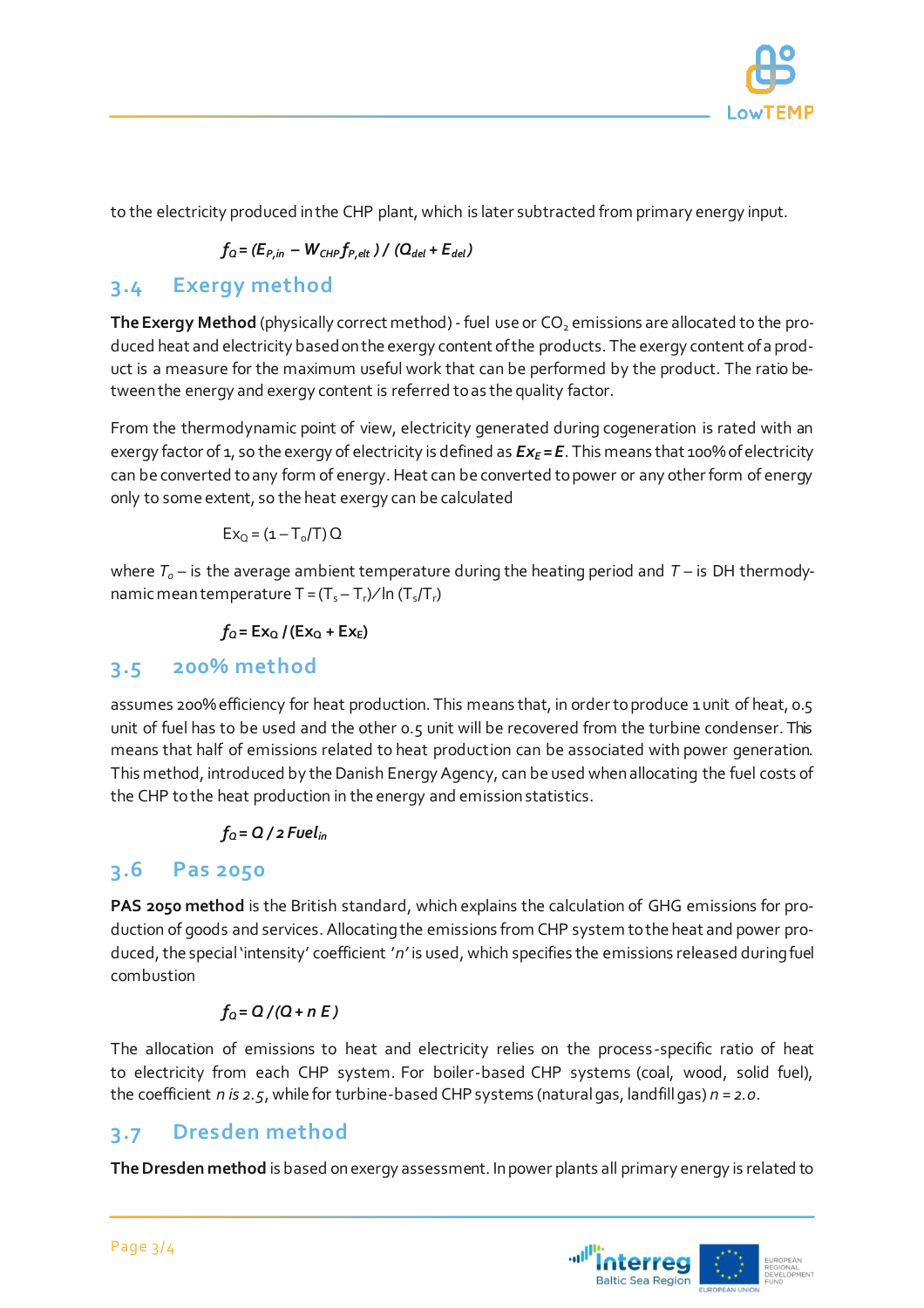

to the electricity produced in the CHP plant, which is later subtracted from primary energy input.

$$
f_{\rm Q} = (E_{P,in} - W_{CHP}f_{P,elt}) / (Q_{del} + E_{del})
$$

## **3.4 Exergy method**

The Exergy Method (physically correct method) - fuel use or CO<sub>2</sub> emissions are allocated to the produced heat and electricity based on the exergy content of the products. The exergy content of a product is a measure for the maximum useful work that can be performed by the product. The ratio between the energy and exergy content is referred to as the quality factor.

From the thermodynamic point of view, electricity generated during cogeneration is rated with an exergy factor of 1, so the exergy of electricity is defined as *Ex<sup>E</sup> = E*. This means that 100% of electricity can be converted to any form of energy. Heat can be converted to power or any other form of energy only to some extent, so the heat exergy can be calculated

$$
Ex_{Q}=(\mathbb{1}-T_{o}/T)\,\mathbb{Q}
$$

where  $T<sub>o</sub>$  – is the average ambient temperature during the heating period and  $T$  – is DH thermodynamic mean temperature T =  $(T_s - T_r)/\ln(T_s/T_r)$ 

 $f_0 = Ex_0 / (Ex_0 + Ex_F)$ 

#### **3.5 200% method**

assumes 200% efficiency for heat production. This means that, in order to produce 1 unit of heat, 0.5 unit of fuel has to be used and the other 0.5 unit will be recovered from the turbine condenser. This means that half of emissions related to heat production can be associated with power generation. This method, introduced by the Danish Energy Agency, can be used when allocating the fuel costs of the CHP to the heat production in the energy and emission statistics.

#### $f_0 = Q / 2$  *Fuel*<sub>*in*</sub>

#### **3.6 Pas 2050**

**PAS 2050 method** is the British standard, which explains the calculation of GHG emissions for production of goods and services. Allocating the emissions from CHP system to the heat and power produced, the special 'intensity' coefficient '*n'* is used, which specifies the emissions released during fuel combustion

#### $f_0 = Q/(Q + nE)$

The allocation of emissions to heat and electricity relies on the process-specific ratio of heat to electricity from each CHP system. For boiler-based CHP systems (coal, wood, solid fuel), the coefficient *n is 2.5*, while for turbine-based CHP systems (natural gas, landfill gas) *n = 2.0*.

#### **3.7 Dresden method**

**The Dresden method** is based on exergy assessment. In power plants all primary energy is related to